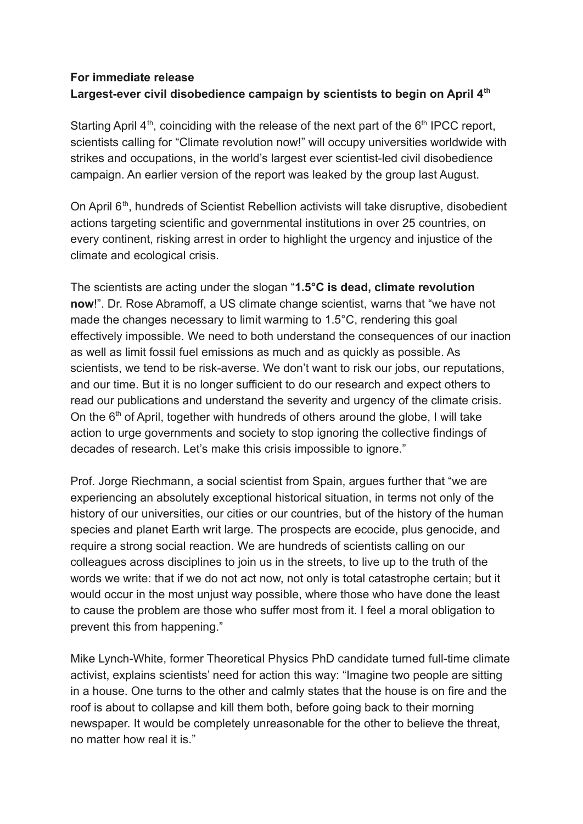## **For immediate release Largest-ever civil disobedience campaign by scientists to begin on April 4th**

Starting April  $4<sup>th</sup>$ , coinciding with the release of the next part of the  $6<sup>th</sup>$  IPCC report, scientists calling for "Climate revolution now!" will occupy universities worldwide with strikes and occupations, in the world's largest ever scientist-led civil disobedience campaign. An earlier version of the report was leaked by the group last August.

On April 6<sup>th</sup>, hundreds of Scientist Rebellion activists will take disruptive, disobedient actions targeting scientific and governmental institutions in over 25 countries, on every continent, risking arrest in order to highlight the urgency and injustice of the climate and ecological crisis.

The scientists are acting under the slogan "**1.5°C is dead, climate revolution now**!". Dr. Rose Abramoff, a US climate change scientist, warns that "we have not made the changes necessary to limit warming to 1.5°C, rendering this goal effectively impossible. We need to both understand the consequences of our inaction as well as limit fossil fuel emissions as much and as quickly as possible. As scientists, we tend to be risk-averse. We don't want to risk our jobs, our reputations, and our time. But it is no longer sufficient to do our research and expect others to read our publications and understand the severity and urgency of the climate crisis. On the  $6<sup>th</sup>$  of April, together with hundreds of others around the globe, I will take action to urge governments and society to stop ignoring the collective findings of decades of research. Let's make this crisis impossible to ignore."

Prof. Jorge Riechmann, a social scientist from Spain, argues further that "we are experiencing an absolutely exceptional historical situation, in terms not only of the history of our universities, our cities or our countries, but of the history of the human species and planet Earth writ large. The prospects are ecocide, plus genocide, and require a strong social reaction. We are hundreds of scientists calling on our colleagues across disciplines to join us in the streets, to live up to the truth of the words we write: that if we do not act now, not only is total catastrophe certain; but it would occur in the most unjust way possible, where those who have done the least to cause the problem are those who suffer most from it. I feel a moral obligation to prevent this from happening."

Mike Lynch-White, former Theoretical Physics PhD candidate turned full-time climate activist, explains scientists' need for action this way: "Imagine two people are sitting in a house. One turns to the other and calmly states that the house is on fire and the roof is about to collapse and kill them both, before going back to their morning newspaper. It would be completely unreasonable for the other to believe the threat, no matter how real it is."